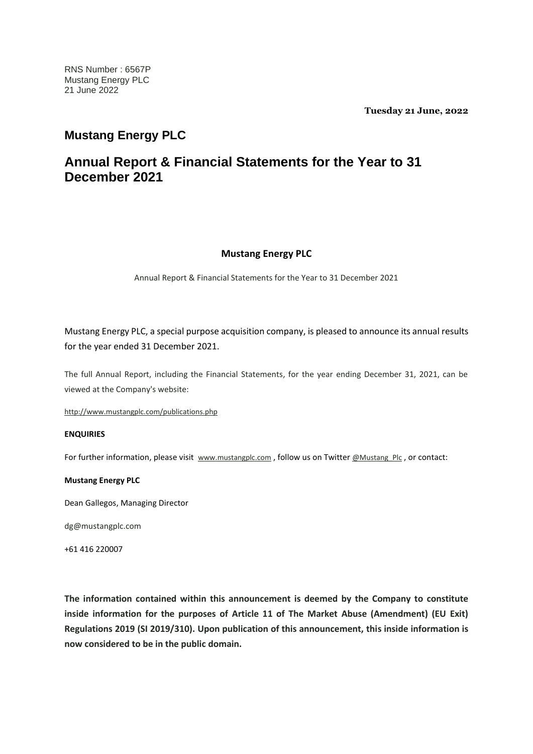**Tuesday 21 June, 2022**

## **Mustang Energy PLC**

# **Annual Report & Financial Statements for the Year to 31 December 2021**

## **Mustang Energy PLC**

Annual Report & Financial Statements for the Year to 31 December 2021

Mustang Energy PLC, a special purpose acquisition company, is pleased to announce its annual results for the year ended 31 December 2021.

The full Annual Report, including the Financial Statements, for the year ending December 31, 2021, can be viewed at the Company's website:

<http://www.mustangplc.com/publications.php>

### **ENQUIRIES**

For further information, please visit [www.mustangplc.com](http://www.mustangplc.com/), follow us on Twitter [@Mustang\\_Plc](https://twitter.com/Mustang_Plc), or contact:

### **Mustang Energy PLC**

Dean Gallegos, Managing Director

dg@mustangplc.com

+61 416 220007

**The information contained within this announcement is deemed by the Company to constitute inside information for the purposes of Article 11 of The Market Abuse (Amendment) (EU Exit) Regulations 2019 (SI 2019/310). Upon publication of this announcement, this inside information is now considered to be in the public domain.**